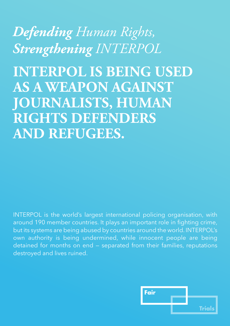*Defending Human Rights, Strengthening INTERPOL*

**INTERPOL IS BEING USED AS A WEAPON AGAINST JOURNALISTS, HUMAN RIGHTS DEFENDERS AND REFUGEES.**

INTERPOL is the world's largest international policing organisation, with around 190 member countries. It plays an important role in fighting crime, but its systems are being abused by countries around the world. INTERPOL's own authority is being undermined, while innocent people are being detained for months on end — separated from their families, reputations destroyed and lives ruined.

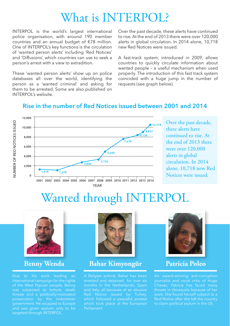# What is INTERPOL?

INTERPOL is the world's largest international police organisation, with around 190 member countries and an annual budget of €78 million. One of INTERPOL's key functions is the circulation of 'wanted person alerts' including 'Red Notices' and 'Diffusions', which countries can use to seek a person's arrest with a view to extradition.

These 'wanted person alerts' show up on police databases all over the world, identifying the person as a 'wanted criminal' and asking for them to be arrested. Some are also published on INTERPOL's website.

Over the past decade, these alerts have continued to rise. At the end of 2013 there were over 120,000 alerts in global circulation. In 2014 alone, 10,718 new Red Notices were issued.

A fast-track system, introduced in 2009, allows countries to quickly circulate information about wanted people – a useful mechanism when used properly. The introduction of this fast track system coincided with a huge jump in the number of requests (see graph below).

### **Rise in the number of Red Notices issued between 2001 and 2014**



Over the past decade, these alerts have continued to rise. At the end of 2013 there were over 120,000 alerts in global circulation. In 2014 alone, 10,718 new Red Notices were issued.

# Wanted through INTERPOL



Due to his work leading an international campaign for the rights threats and a politically-motivated government. He escaped to Europe and was given asylum, only to be targeted through INTERPOL.



**Benny Wenda Bahar Kimyongür Patricia Poleo**

A Belgian activist, Bahar has been arrested and detained for over six months in the Netherlands, Spain and Italy, all because of an abusive which followed a peaceful protest which took place at the European Parliament.



An award-winning anti-corruption threats in Venezuela because of her work. She found herself subject to a Red Notice after she left the country to claim political asylum in the US.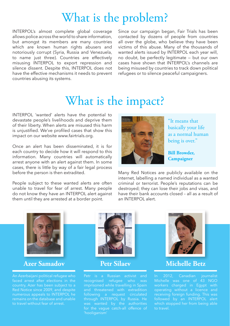## What is the problem?

INTERPOL's almost complete global coverage allows police across the world to share information, but amongst its members are many countries which are known human rights abusers and notoriously corrupt (Syria, Russia and Venezuela, to name just three). Countries are effectively misusing INTERPOL to export repression and silence dissent. Despite this, INTERPOL does not have the effective mechanisms it needs to prevent countries abusing its systems.

Since our campaign began, Fair Trials has been contacted by dozens of people from countries all over the globe, who believe they have been victims of this abuse. Many of the thousands of wanted alerts issued by INTERPOL each year will, no doubt, be perfectly legitimate — but our own cases have shown that INTERPOL's channels are being misused by countries to track down political refugees or to silence peaceful campaigners.

# What is the impact?

INTERPOL 'wanted' alerts have the potential to devastate people's livelihoods and deprive them of their liberty. When alerts are misused this harm is unjustified. We've profiled cases that show this impact on our website www.fairtrials.org.

Once an alert has been disseminated, it is for each country to decide how it will respond to this information. Many countries will automatically arrest anyone with an alert against them. In some cases, there is little by way of a fair legal process before the person is then extradited.

People subject to these wanted alerts are often unable to travel for fear of arrest. Many people do not know they have an INTERPOL alert against them until they are arrested at a border point.



"It means that basically your life as a normal human being is over."

**Bill Browder, Campaigner** 

Many Red Notices are publicly available on the internet, labelling a named individual as a wanted criminal or terrorist. People's reputations can be destroyed; they can lose their jobs and visas, and have their bank accounts closed – all as a result of an INTERPOL alert.



### **Azer Samadov Petr Silaev Michelle Betz**

An Azerbaijani political refugee who Red Notice since 2009, and despite numerous appeals to INTERPOL he remains on the database and unable to travel without fear of arrest.



recognised refugee who was imprisoned while travelling in Spain following a request circulated through INTERPOL by Russia. He for the vague catch-all offence of



In 2012, Canadian journalist Michelle was one of 43 NGO operating without a licence and receiving foreign funding. This was followed by an INTERPOL alert which stopped her from being able to travel.